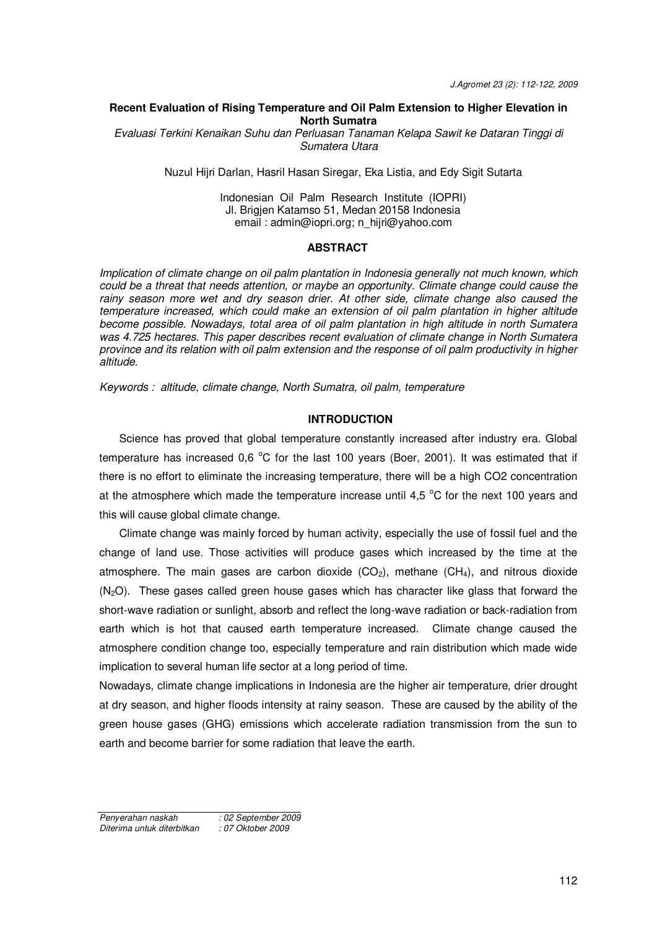## **Recent Evaluation of Rising Temperature and Oil Palm Extension to Higher Elevation in North Sumatra**

*Evaluasi Terkini Kenaikan Suhu dan Perluasan Tanaman Kelapa Sawit ke Dataran Tinggi di Sumatera Utara* 

Nuzul Hijri Darlan, Hasril Hasan Siregar, Eka Listia, and Edy Sigit Sutarta

# Indonesian Oil Palm Research Institute (IOPRI) Jl. Brigjen Katamso 51, Medan 20158 Indonesia email : [admin@iopri.org;](mailto:admin@iopri.org) n\_hijri@yahoo.com

### **ABSTRACT**

*Implication of climate change on oil palm plantation in Indonesia generally not much known, which could be a threat that needs attention, or maybe an opportunity. Climate change could cause the rainy season more wet and dry season drier. At other side, climate change also caused the temperature increased, which could make an extension of oil palm plantation in higher altitude become possible. Nowadays, total area of oil palm plantation in high altitude in north Sumatera was 4.725 hectares. This paper describes recent evaluation of climate change in North Sumatera province and its relation with oil palm extension and the response of oil palm productivity in higher altitude.* 

*Keywords : altitude, climate change, North Sumatra, oil palm, temperature* 

# **INTRODUCTION**

Science has proved that global temperature constantly increased after industry era. Global temperature has increased 0.6  $^{\circ}$ C for the last 100 years (Boer, 2001). It was estimated that if there is no effort to eliminate the increasing temperature, there will be a high CO2 concentration at the atmosphere which made the temperature increase until 4,5  $^{\circ}$ C for the next 100 years and this will cause global climate change.

Climate change was mainly forced by human activity, especially the use of fossil fuel and the change of land use. Those activities will produce gases which increased by the time at the atmosphere. The main gases are carbon dioxide  $(CO_2)$ , methane  $(CH_4)$ , and nitrous dioxide  $(N<sub>2</sub>O)$ . These gases called green house gases which has character like glass that forward the short-wave radiation or sunlight, absorb and reflect the long-wave radiation or back-radiation from earth which is hot that caused earth temperature increased. Climate change caused the atmosphere condition change too, especially temperature and rain distribution which made wide implication to several human life sector at a long period of time.

Nowadays, climate change implications in Indonesia are the higher air temperature, drier drought at dry season, and higher floods intensity at rainy season. These are caused by the ability of the green house gases (GHG) emissions which accelerate radiation transmission from the sun to earth and become barrier for some radiation that leave the earth.

*Penyerahan naskah : 02 September 2009*   $D$ *iterima untuk diterbitkan*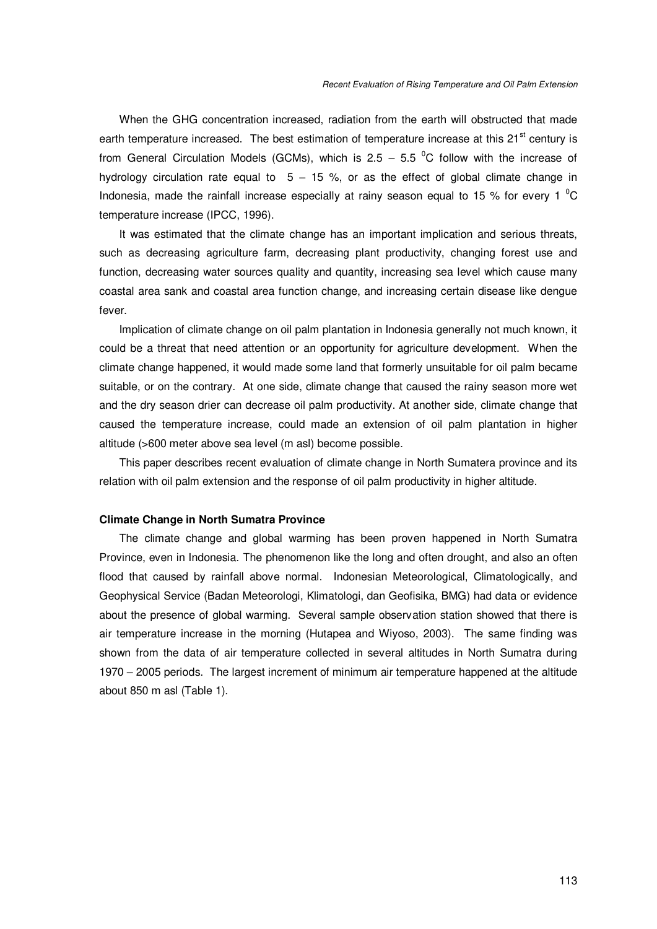When the GHG concentration increased, radiation from the earth will obstructed that made earth temperature increased. The best estimation of temperature increase at this 21<sup>st</sup> century is from General Circulation Models (GCMs), which is 2.5 – 5.5  $\textdegree$ C follow with the increase of hydrology circulation rate equal to  $5 - 15$  %, or as the effect of global climate change in Indonesia, made the rainfall increase especially at rainy season equal to 15 % for every 1  $^{\circ}$ C temperature increase (IPCC, 1996).

It was estimated that the climate change has an important implication and serious threats, such as decreasing agriculture farm, decreasing plant productivity, changing forest use and function, decreasing water sources quality and quantity, increasing sea level which cause many coastal area sank and coastal area function change, and increasing certain disease like dengue fever.

Implication of climate change on oil palm plantation in Indonesia generally not much known, it could be a threat that need attention or an opportunity for agriculture development. When the climate change happened, it would made some land that formerly unsuitable for oil palm became suitable, or on the contrary. At one side, climate change that caused the rainy season more wet and the dry season drier can decrease oil palm productivity. At another side, climate change that caused the temperature increase, could made an extension of oil palm plantation in higher altitude (>600 meter above sea level (m asl) become possible.

This paper describes recent evaluation of climate change in North Sumatera province and its relation with oil palm extension and the response of oil palm productivity in higher altitude.

### **Climate Change in North Sumatra Province**

The climate change and global warming has been proven happened in North Sumatra Province, even in Indonesia. The phenomenon like the long and often drought, and also an often flood that caused by rainfall above normal. Indonesian Meteorological, Climatologically, and Geophysical Service (Badan Meteorologi, Klimatologi, dan Geofisika, BMG) had data or evidence about the presence of global warming. Several sample observation station showed that there is air temperature increase in the morning (Hutapea and Wiyoso, 2003). The same finding was shown from the data of air temperature collected in several altitudes in North Sumatra during 1970 – 2005 periods. The largest increment of minimum air temperature happened at the altitude about 850 m asl (Table 1).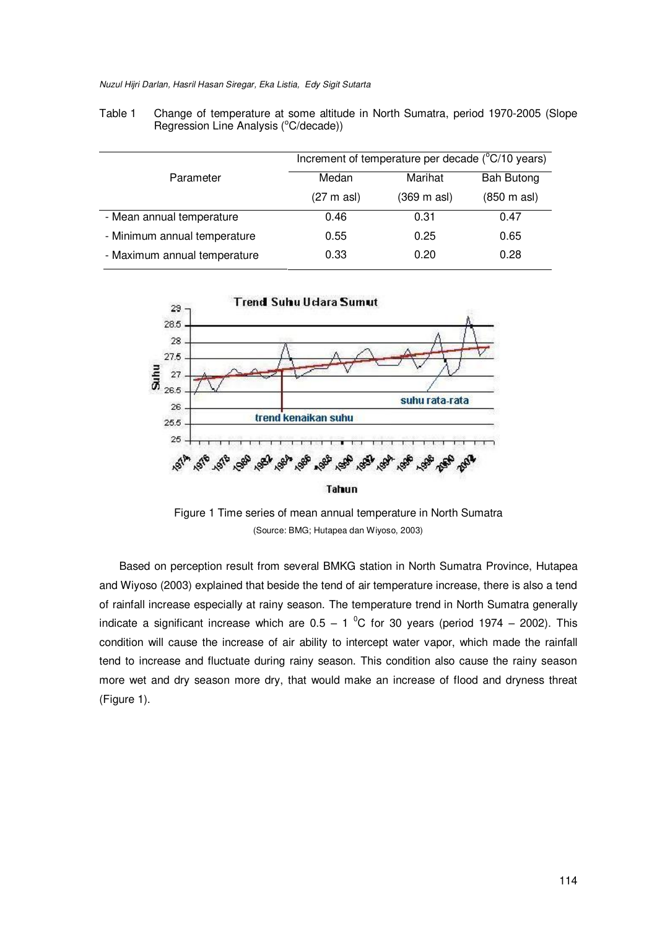*Nuzul Hijri Darlan, Hasril Hasan Siregar, Eka Listia, Edy Sigit Sutarta* 

|                              | Increment of temperature per decade $(^{\circ}C/10$ years) |             |                              |  |
|------------------------------|------------------------------------------------------------|-------------|------------------------------|--|
| Parameter                    | Medan                                                      | Marihat     | <b>Bah Butong</b>            |  |
|                              | $(27 \text{ m as})$                                        | (369 m asl) | $(850 \text{ m } \text{as})$ |  |
| - Mean annual temperature    | 0.46                                                       | 0.31        | 0.47                         |  |
| - Minimum annual temperature | 0.55                                                       | 0.25        | 0.65                         |  |
| - Maximum annual temperature | 0.33                                                       | 0.20        | 0.28                         |  |





Figure 1 Time series of mean annual temperature in North Sumatra (Source: BMG; Hutapea dan Wiyoso, 2003)

Based on perception result from several BMKG station in North Sumatra Province, Hutapea and Wiyoso (2003) explained that beside the tend of air temperature increase, there is also a tend of rainfall increase especially at rainy season. The temperature trend in North Sumatra generally indicate a significant increase which are  $0.5 - 1$  <sup>o</sup>C for 30 years (period 1974 – 2002). This condition will cause the increase of air ability to intercept water vapor, which made the rainfall tend to increase and fluctuate during rainy season. This condition also cause the rainy season more wet and dry season more dry, that would make an increase of flood and dryness threat (Figure 1).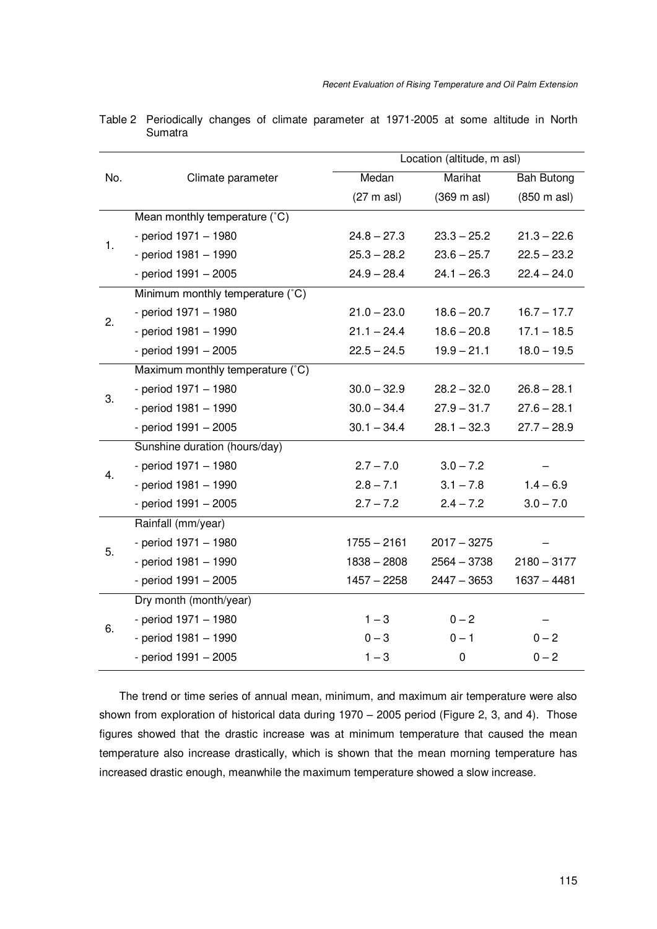|     |                                  |                     | Location (altitude, m asl) |                   |  |
|-----|----------------------------------|---------------------|----------------------------|-------------------|--|
| No. | Climate parameter                | Medan               | <b>Marihat</b>             | <b>Bah Butong</b> |  |
|     |                                  | $(27 \text{ m as})$ | $(369 \text{ m as})$       | (850 m asl)       |  |
|     | Mean monthly temperature (°C)    |                     |                            |                   |  |
| 1.  | - period 1971 - 1980             | $24.8 - 27.3$       | $23.3 - 25.2$              | $21.3 - 22.6$     |  |
|     | - period 1981 - 1990             | $25.3 - 28.2$       | $23.6 - 25.7$              | $22.5 - 23.2$     |  |
|     | - period 1991 - 2005             | $24.9 - 28.4$       | $24.1 - 26.3$              | $22.4 - 24.0$     |  |
|     | Minimum monthly temperature (°C) |                     |                            |                   |  |
| 2.  | - period 1971 - 1980             | $21.0 - 23.0$       | $18.6 - 20.7$              | $16.7 - 17.7$     |  |
|     | - period 1981 - 1990             | $21.1 - 24.4$       | $18.6 - 20.8$              | $17.1 - 18.5$     |  |
|     | - period 1991 - 2005             | $22.5 - 24.5$       | $19.9 - 21.1$              | $18.0 - 19.5$     |  |
|     | Maximum monthly temperature (°C) |                     |                            |                   |  |
| 3.  | - period 1971 - 1980             | $30.0 - 32.9$       | $28.2 - 32.0$              | $26.8 - 28.1$     |  |
|     | - period 1981 - 1990             | $30.0 - 34.4$       | $27.9 - 31.7$              | $27.6 - 28.1$     |  |
|     | - period 1991 - 2005             | $30.1 - 34.4$       | $28.1 - 32.3$              | $27.7 - 28.9$     |  |
|     | Sunshine duration (hours/day)    |                     |                            |                   |  |
| 4.  | - period 1971 - 1980             | $2.7 - 7.0$         | $3.0 - 7.2$                |                   |  |
|     | - period 1981 - 1990             | $2.8 - 7.1$         | $3.1 - 7.8$                | $1.4 - 6.9$       |  |
|     | - period 1991 - 2005             | $2.7 - 7.2$         | $2.4 - 7.2$                | $3.0 - 7.0$       |  |
|     | Rainfall (mm/year)               |                     |                            |                   |  |
| 5.  | - period 1971 - 1980             | $1755 - 2161$       | $2017 - 3275$              |                   |  |
|     | - period 1981 - 1990             | $1838 - 2808$       | $2564 - 3738$              | $2180 - 3177$     |  |
|     | - period 1991 - 2005             | $1457 - 2258$       | $2447 - 3653$              | $1637 - 4481$     |  |
| 6.  | Dry month (month/year)           |                     |                            |                   |  |
|     | - period 1971 - 1980             | $1 - 3$             | $0 - 2$                    |                   |  |
|     | - period 1981 - 1990             | $0 - 3$             | $0 - 1$                    | $0 - 2$           |  |
|     | - period 1991 - 2005             | $1 - 3$             | $\boldsymbol{0}$           | $0 - 2$           |  |

Table 2 Periodically changes of climate parameter at 1971-2005 at some altitude in North **Sumatra** 

The trend or time series of annual mean, minimum, and maximum air temperature were also shown from exploration of historical data during 1970 – 2005 period (Figure 2, 3, and 4). Those figures showed that the drastic increase was at minimum temperature that caused the mean temperature also increase drastically, which is shown that the mean morning temperature has increased drastic enough, meanwhile the maximum temperature showed a slow increase.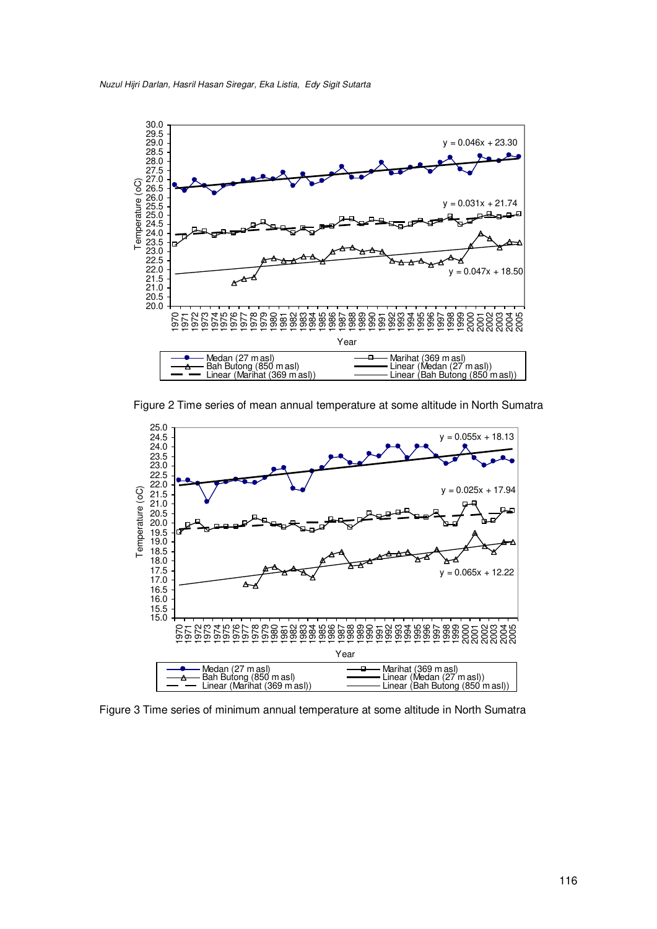

Figure 2 Time series of mean annual temperature at some altitude in North Sumatra



Figure 3 Time series of minimum annual temperature at some altitude in North Sumatra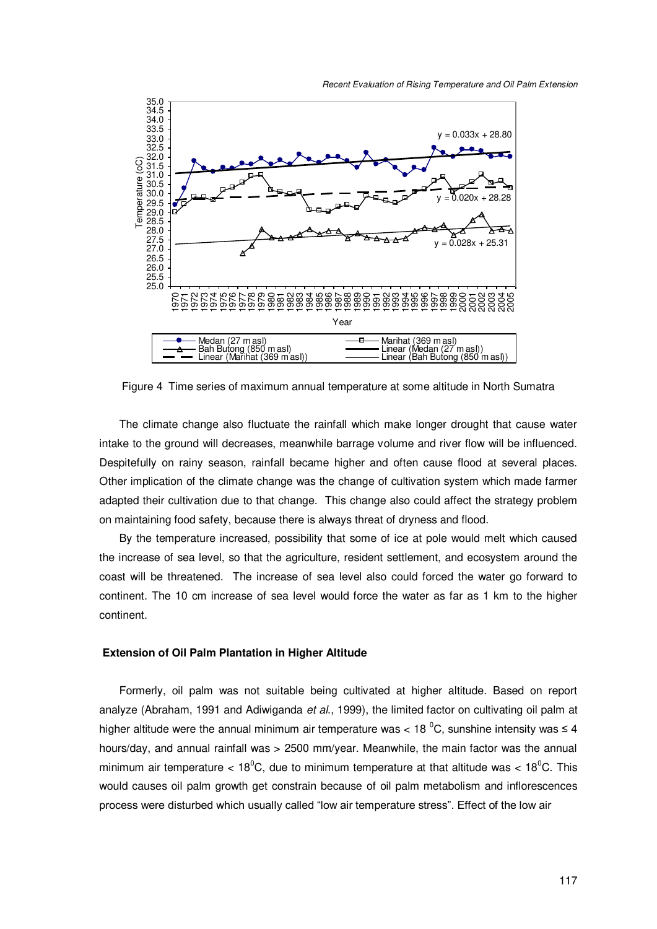



Figure 4 Time series of maximum annual temperature at some altitude in North Sumatra

The climate change also fluctuate the rainfall which make longer drought that cause water intake to the ground will decreases, meanwhile barrage volume and river flow will be influenced. Despitefully on rainy season, rainfall became higher and often cause flood at several places. Other implication of the climate change was the change of cultivation system which made farmer adapted their cultivation due to that change. This change also could affect the strategy problem on maintaining food safety, because there is always threat of dryness and flood.

By the temperature increased, possibility that some of ice at pole would melt which caused the increase of sea level, so that the agriculture, resident settlement, and ecosystem around the coast will be threatened. The increase of sea level also could forced the water go forward to continent. The 10 cm increase of sea level would force the water as far as 1 km to the higher continent.

## **Extension of Oil Palm Plantation in Higher Altitude**

Formerly, oil palm was not suitable being cultivated at higher altitude. Based on report analyze (Abraham, 1991 and Adiwiganda *et al*., 1999), the limited factor on cultivating oil palm at higher altitude were the annual minimum air temperature was < 18  $^{\circ}$ C, sunshine intensity was  $\leq$  4 hours/day, and annual rainfall was > 2500 mm/year. Meanwhile, the main factor was the annual minimum air temperature <  $18^0$ C, due to minimum temperature at that altitude was <  $18^0$ C. This would causes oil palm growth get constrain because of oil palm metabolism and inflorescences process were disturbed which usually called "low air temperature stress". Effect of the low air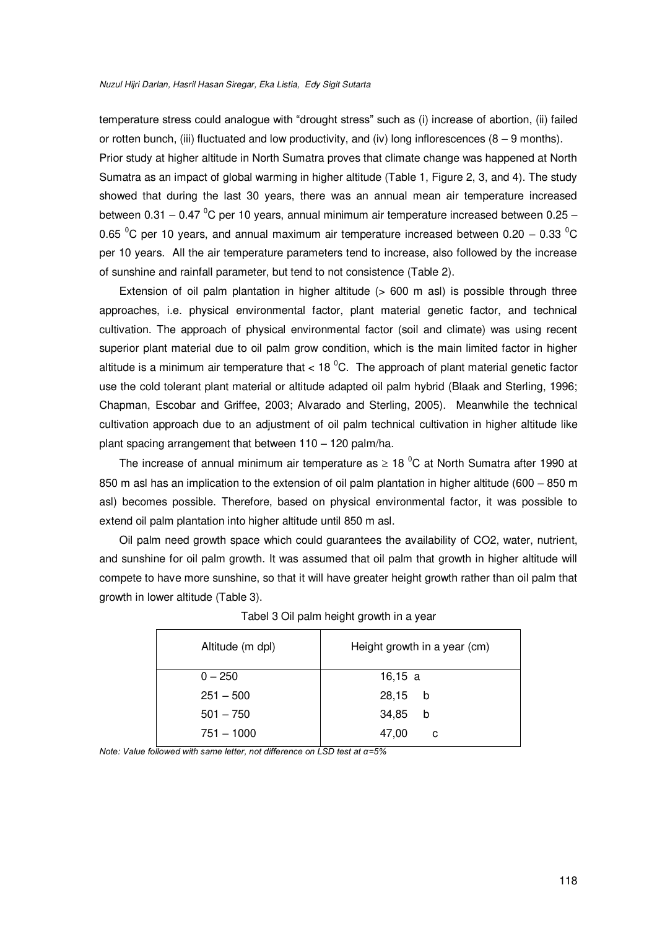#### *Nuzul Hijri Darlan, Hasril Hasan Siregar, Eka Listia, Edy Sigit Sutarta*

temperature stress could analogue with "drought stress" such as (i) increase of abortion, (ii) failed or rotten bunch, (iii) fluctuated and low productivity, and (iv) long inflorescences ( $8 - 9$  months). Prior study at higher altitude in North Sumatra proves that climate change was happened at North Sumatra as an impact of global warming in higher altitude (Table 1, Figure 2, 3, and 4). The study showed that during the last 30 years, there was an annual mean air temperature increased between 0.31 – 0.47 $\mathrm{^{0}C}$  per 10 years, annual minimum air temperature increased between 0.25 – 0.65  $\mathrm{^0C}$  per 10 years, and annual maximum air temperature increased between 0.20 – 0.33  $\mathrm{^0C}$ per 10 years. All the air temperature parameters tend to increase, also followed by the increase of sunshine and rainfall parameter, but tend to not consistence (Table 2).

Extension of oil palm plantation in higher altitude  $(> 600 \text{ m as})$  is possible through three approaches, i.e. physical environmental factor, plant material genetic factor, and technical cultivation. The approach of physical environmental factor (soil and climate) was using recent superior plant material due to oil palm grow condition, which is the main limited factor in higher altitude is a minimum air temperature that  $<$  18  $^{\circ}$ C. The approach of plant material genetic factor use the cold tolerant plant material or altitude adapted oil palm hybrid (Blaak and Sterling, 1996; Chapman, Escobar and Griffee, 2003; Alvarado and Sterling, 2005). Meanwhile the technical cultivation approach due to an adjustment of oil palm technical cultivation in higher altitude like plant spacing arrangement that between 110 – 120 palm/ha.

The increase of annual minimum air temperature as  $\geq$  18 °C at North Sumatra after 1990 at 850 m asl has an implication to the extension of oil palm plantation in higher altitude (600 – 850 m asl) becomes possible. Therefore, based on physical environmental factor, it was possible to extend oil palm plantation into higher altitude until 850 m asl.

Oil palm need growth space which could guarantees the availability of CO2, water, nutrient, and sunshine for oil palm growth. It was assumed that oil palm that growth in higher altitude will compete to have more sunshine, so that it will have greater height growth rather than oil palm that growth in lower altitude (Table 3).

| Altitude (m dpl) | Height growth in a year (cm) |  |
|------------------|------------------------------|--|
| $0 - 250$        | 16,15 a                      |  |
| $251 - 500$      | 28,15<br>b                   |  |
| $501 - 750$      | 34,85<br>b                   |  |
| $751 - 1000$     | 47,00<br>c                   |  |

| Tabel 3 Oil palm height growth in a year |  |  |  |  |  |
|------------------------------------------|--|--|--|--|--|
|------------------------------------------|--|--|--|--|--|

*Note: Value followed with same letter, not difference on LSD test at α=5%*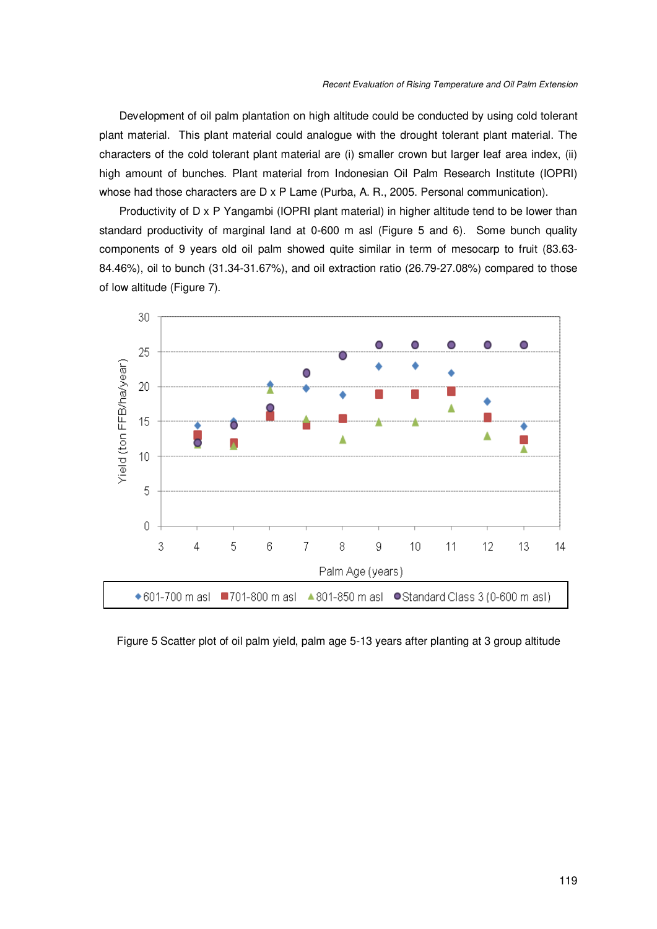Development of oil palm plantation on high altitude could be conducted by using cold tolerant plant material. This plant material could analogue with the drought tolerant plant material. The characters of the cold tolerant plant material are (i) smaller crown but larger leaf area index, (ii) high amount of bunches. Plant material from Indonesian Oil Palm Research Institute (IOPRI) whose had those characters are D x P Lame (Purba, A. R., 2005. Personal communication).

Productivity of D x P Yangambi (IOPRI plant material) in higher altitude tend to be lower than standard productivity of marginal land at 0-600 m asl (Figure 5 and 6). Some bunch quality components of 9 years old oil palm showed quite similar in term of mesocarp to fruit (83.63- 84.46%), oil to bunch (31.34-31.67%), and oil extraction ratio (26.79-27.08%) compared to those of low altitude (Figure 7).



Figure 5 Scatter plot of oil palm yield, palm age 5-13 years after planting at 3 group altitude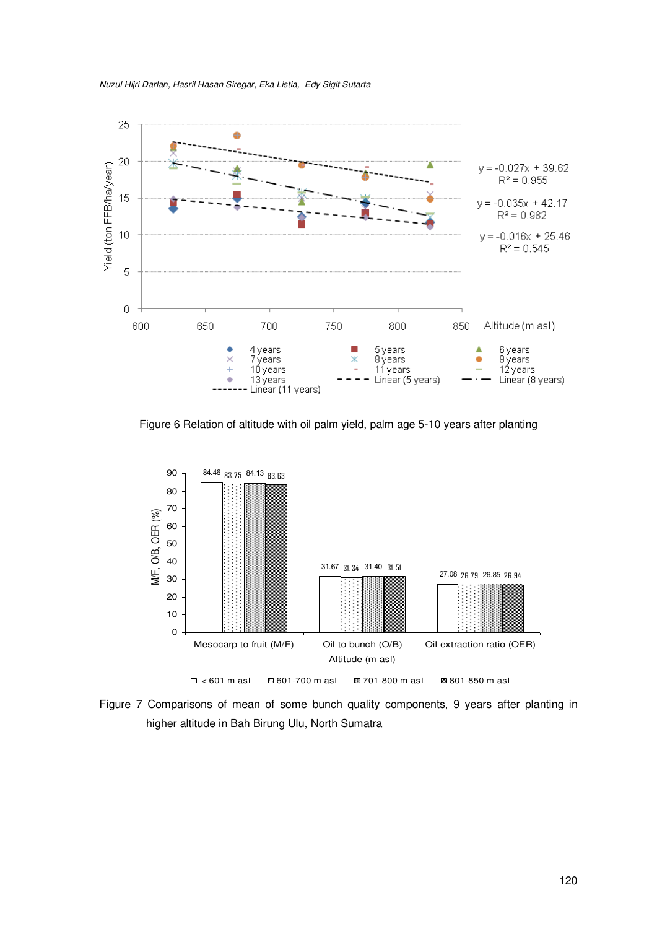

*Nuzul Hijri Darlan, Hasril Hasan Siregar, Eka Listia, Edy Sigit Sutarta* 

Figure 6 Relation of altitude with oil palm yield, palm age 5-10 years after planting



Figure 7 Comparisons of mean of some bunch quality components, 9 years after planting in higher altitude in Bah Birung Ulu, North Sumatra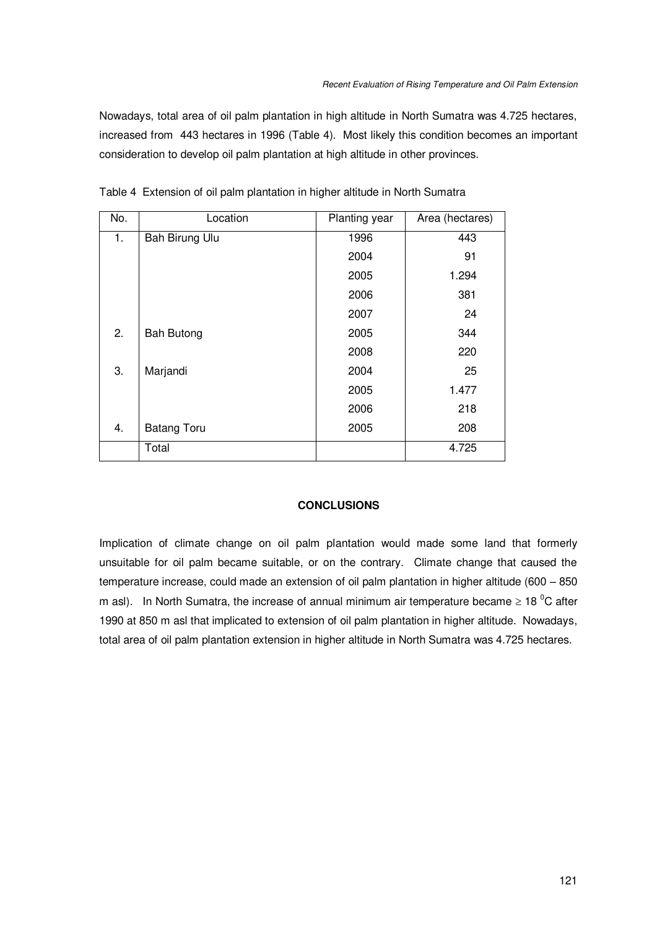Nowadays, total area of oil palm plantation in high altitude in North Sumatra was 4.725 hectares, increased from 443 hectares in 1996 (Table 4). Most likely this condition becomes an important consideration to develop oil palm plantation at high altitude in other provinces.

| No. | Location           | Planting year | Area (hectares) |
|-----|--------------------|---------------|-----------------|
| 1.  | Bah Birung Ulu     | 1996          | 443             |
|     |                    | 2004          | 91              |
|     |                    | 2005          | 1.294           |
|     |                    | 2006          | 381             |
|     |                    | 2007          | 24              |
| 2.  | <b>Bah Butong</b>  | 2005          | 344             |
|     |                    | 2008          | 220             |
| 3.  | Marjandi           | 2004          | 25              |
|     |                    | 2005          | 1.477           |
|     |                    | 2006          | 218             |
| 4.  | <b>Batang Toru</b> | 2005          | 208             |
|     | Total              |               | 4.725           |

Table 4 Extension of oil palm plantation in higher altitude in North Sumatra

# **CONCLUSIONS**

Implication of climate change on oil palm plantation would made some land that formerly unsuitable for oil palm became suitable, or on the contrary. Climate change that caused the temperature increase, could made an extension of oil palm plantation in higher altitude (600 – 850 m asl). In North Sumatra, the increase of annual minimum air temperature became  $\geq 18$  °C after 1990 at 850 m asl that implicated to extension of oil palm plantation in higher altitude. Nowadays, total area of oil palm plantation extension in higher altitude in North Sumatra was 4.725 hectares.